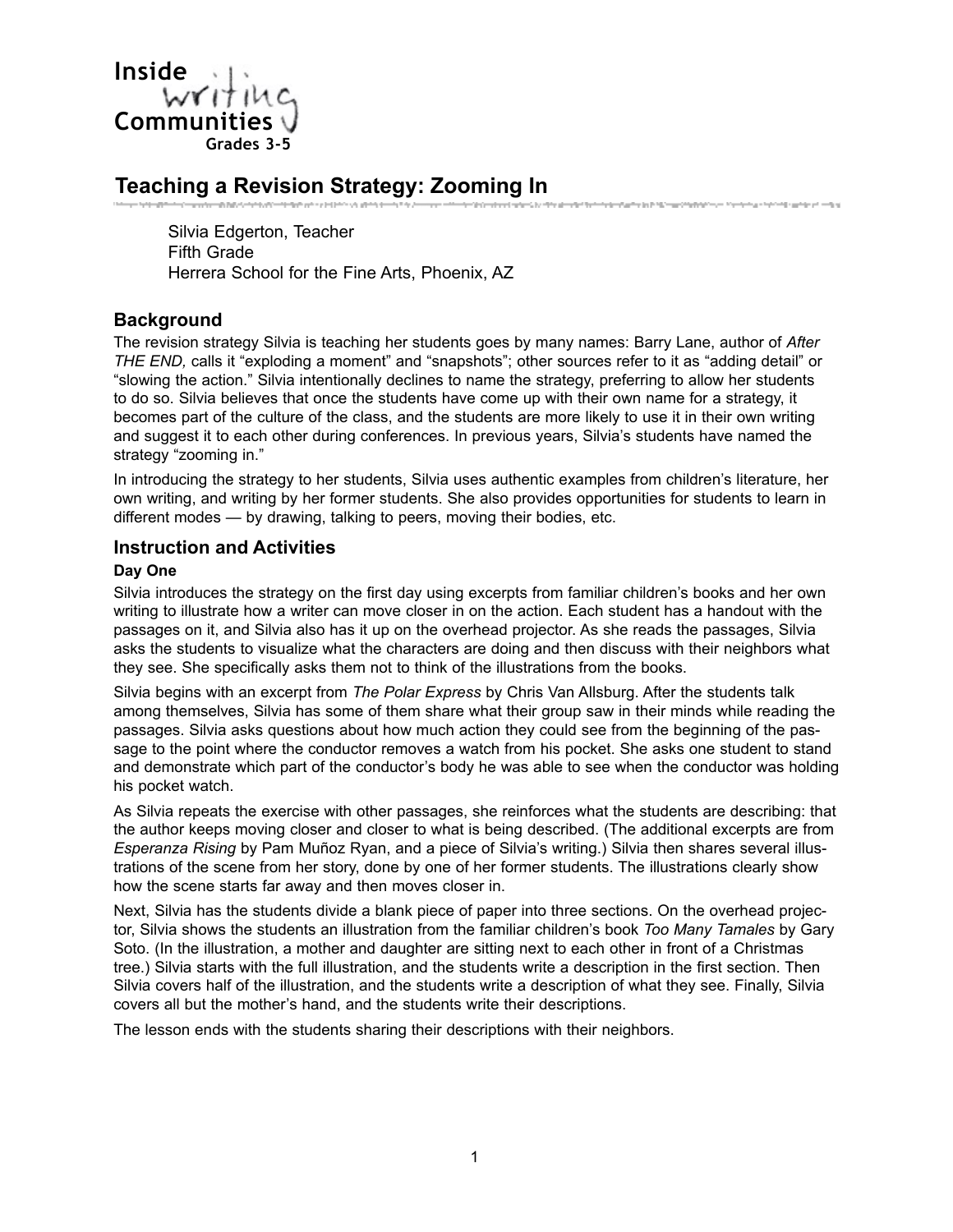

## **Teaching a Revision Strategy: Zooming In**

Silvia Edgerton, Teacher Fifth Grade Herrera School for the Fine Arts, Phoenix, AZ

### **Background**

The revision strategy Silvia is teaching her students goes by many names: Barry Lane, author of *After THE END,* calls it "exploding a moment" and "snapshots"; other sources refer to it as "adding detail" or "slowing the action." Silvia intentionally declines to name the strategy, preferring to allow her students to do so. Silvia believes that once the students have come up with their own name for a strategy, it becomes part of the culture of the class, and the students are more likely to use it in their own writing and suggest it to each other during conferences. In previous years, Silvia's students have named the strategy "zooming in."

.<br>The former description for the Material Complete Concern Materials and the Conference of the Complete States

In introducing the strategy to her students, Silvia uses authentic examples from children's literature, her own writing, and writing by her former students. She also provides opportunities for students to learn in different modes — by drawing, talking to peers, moving their bodies, etc.

#### **Instruction and Activities**

#### **Day One**

Silvia introduces the strategy on the first day using excerpts from familiar children's books and her own writing to illustrate how a writer can move closer in on the action. Each student has a handout with the passages on it, and Silvia also has it up on the overhead projector. As she reads the passages, Silvia asks the students to visualize what the characters are doing and then discuss with their neighbors what they see. She specifically asks them not to think of the illustrations from the books.

Silvia begins with an excerpt from *The Polar Express* by Chris Van Allsburg. After the students talk among themselves, Silvia has some of them share what their group saw in their minds while reading the passages. Silvia asks questions about how much action they could see from the beginning of the passage to the point where the conductor removes a watch from his pocket. She asks one student to stand and demonstrate which part of the conductor's body he was able to see when the conductor was holding his pocket watch.

As Silvia repeats the exercise with other passages, she reinforces what the students are describing: that the author keeps moving closer and closer to what is being described. (The additional excerpts are from *Esperanza Rising* by Pam Muñoz Ryan, and a piece of Silvia's writing.) Silvia then shares several illustrations of the scene from her story, done by one of her former students. The illustrations clearly show how the scene starts far away and then moves closer in.

Next, Silvia has the students divide a blank piece of paper into three sections. On the overhead projector, Silvia shows the students an illustration from the familiar children's book *Too Many Tamales* by Gary Soto. (In the illustration, a mother and daughter are sitting next to each other in front of a Christmas tree.) Silvia starts with the full illustration, and the students write a description in the first section. Then Silvia covers half of the illustration, and the students write a description of what they see. Finally, Silvia covers all but the mother's hand, and the students write their descriptions.

The lesson ends with the students sharing their descriptions with their neighbors.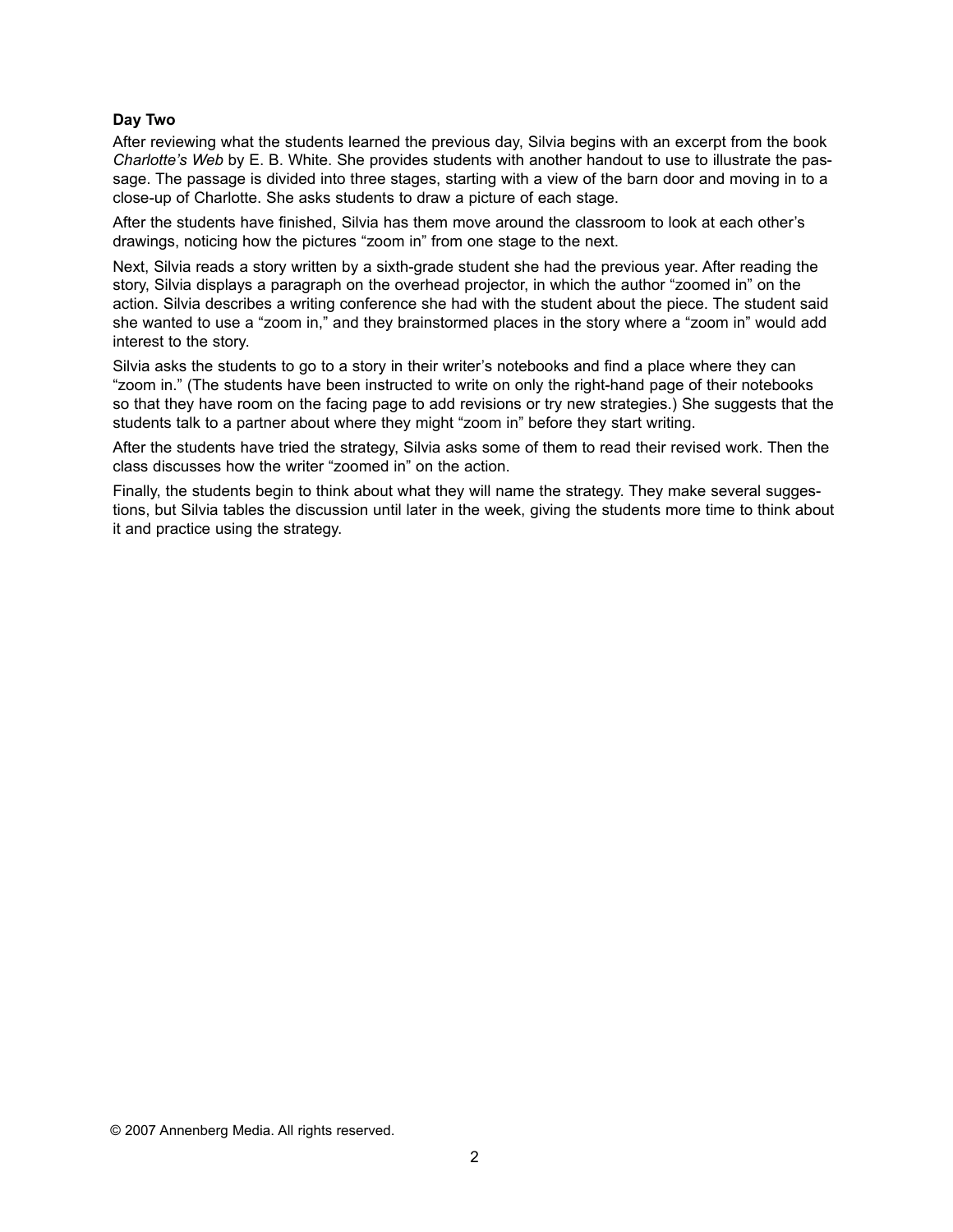#### **Day Two**

After reviewing what the students learned the previous day, Silvia begins with an excerpt from the book *Charlotte's Web* by E. B. White. She provides students with another handout to use to illustrate the passage. The passage is divided into three stages, starting with a view of the barn door and moving in to a close-up of Charlotte. She asks students to draw a picture of each stage.

After the students have finished, Silvia has them move around the classroom to look at each other's drawings, noticing how the pictures "zoom in" from one stage to the next.

Next, Silvia reads a story written by a sixth-grade student she had the previous year. After reading the story, Silvia displays a paragraph on the overhead projector, in which the author "zoomed in" on the action. Silvia describes a writing conference she had with the student about the piece. The student said she wanted to use a "zoom in," and they brainstormed places in the story where a "zoom in" would add interest to the story.

Silvia asks the students to go to a story in their writer's notebooks and find a place where they can "zoom in." (The students have been instructed to write on only the right-hand page of their notebooks so that they have room on the facing page to add revisions or try new strategies.) She suggests that the students talk to a partner about where they might "zoom in" before they start writing.

After the students have tried the strategy, Silvia asks some of them to read their revised work. Then the class discusses how the writer "zoomed in" on the action.

Finally, the students begin to think about what they will name the strategy. They make several suggestions, but Silvia tables the discussion until later in the week, giving the students more time to think about it and practice using the strategy.

© 2007 Annenberg Media. All rights reserved.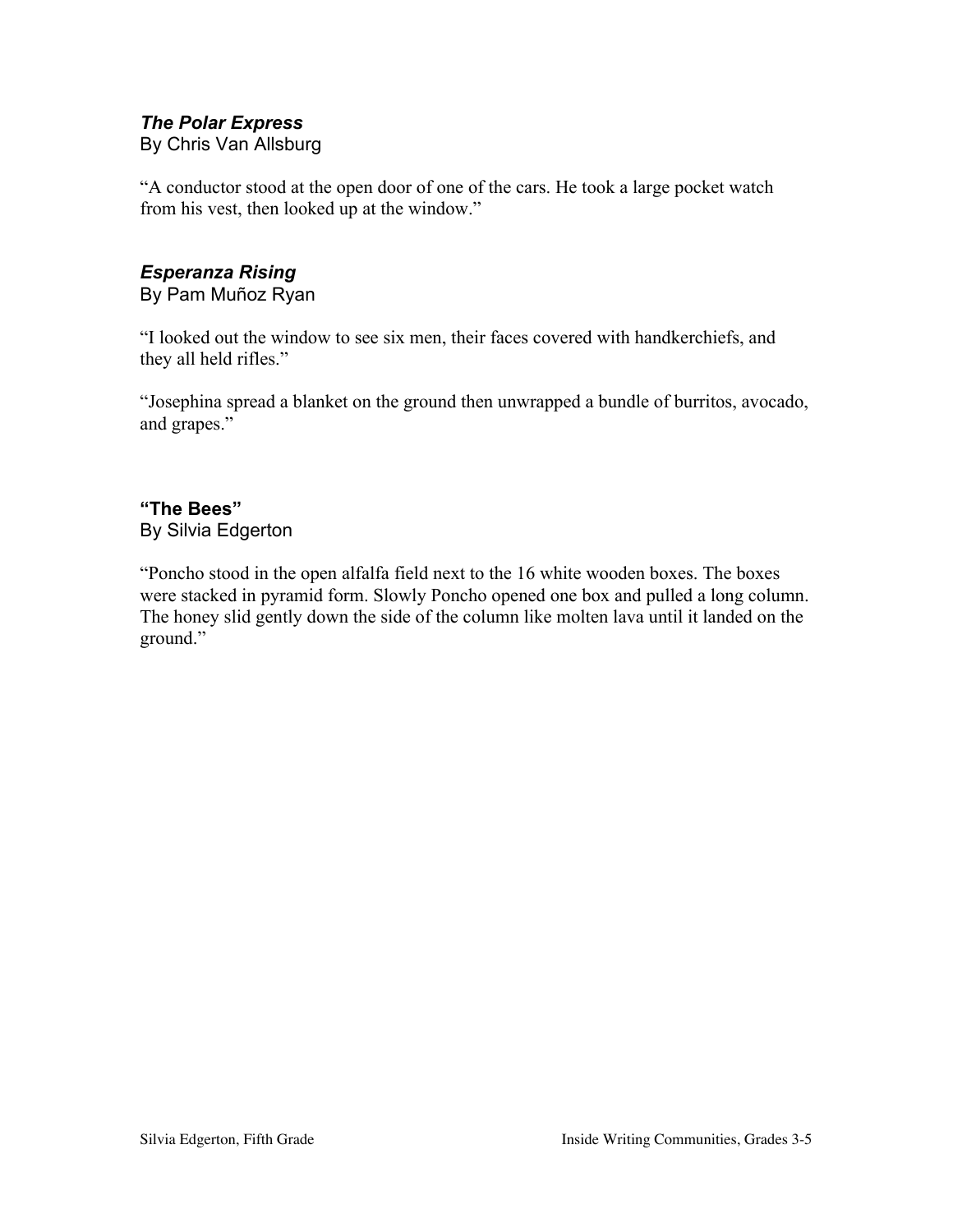## *The Polar Express*

By Chris Van Allsburg

"A conductor stood at the open door of one of the cars. He took a large pocket watch from his vest, then looked up at the window."

# *Esperanza Rising*

By Pam Muñoz Ryan

"I looked out the window to see six men, their faces covered with handkerchiefs, and they all held rifles."

"Josephina spread a blanket on the ground then unwrapped a bundle of burritos, avocado, and grapes."

## **"The Bees"** By Silvia Edgerton

"Poncho stood in the open alfalfa field next to the 16 white wooden boxes. The boxes were stacked in pyramid form. Slowly Poncho opened one box and pulled a long column. The honey slid gently down the side of the column like molten lava until it landed on the ground."